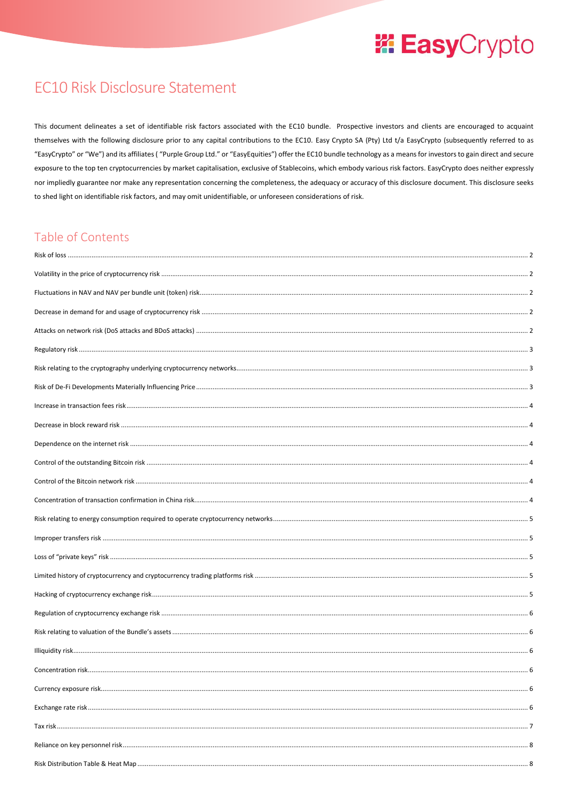### **EC10 Risk Disclosure Statement**

This document delineates a set of identifiable risk factors associated with the EC10 bundle. Prospective investors and clients are encouraged to acquaint themselves with the following disclosure prior to any capital contributions to the EC10. Easy Crypto SA (Pty) Ltd t/a EasyCrypto (subsequently referred to as "EasyCrypto" or "We") and its affiliates ("Purple Group Ltd." or "EasyEquities") offer the EC10 bundle technology as a means for investors to gain direct and secure exposure to the top ten cryptocurrencies by market capitalisation, exclusive of Stablecoins, which embody various risk factors. EasyCrypto does neither expressly nor impliedly guarantee nor make any representation concerning the completeness, the adequacy or accuracy of this disclosure document. This disclosure seeks to shed light on identifiable risk factors, and may omit unidentifiable, or unforeseen considerations of risk.

### Table of Contents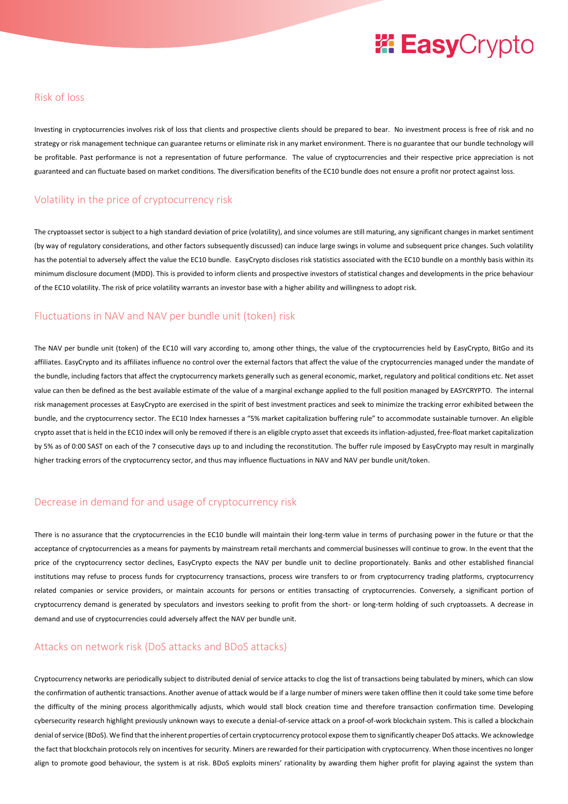#### <span id="page-1-0"></span>Risk of loss

Investing in cryptocurrencies involves risk of loss that clients and prospective clients should be prepared to bear. No investment process is free of risk and no strategy or risk management technique can guarantee returns or eliminate risk in any market environment. There is no guarantee that our bundle technology will be profitable. Past performance is not a representation of future performance. The value of cryptocurrencies and their respective price appreciation is not guaranteed and can fluctuate based on market conditions. The diversification benefits of the EC10 bundle does not ensure a profit nor protect against loss.

#### <span id="page-1-1"></span>Volatility in the price of cryptocurrency risk

The cryptoasset sector is subject to a high standard deviation of price (volatility), and since volumes are still maturing, any significant changes in market sentiment (by way of regulatory considerations, and other factors subsequently discussed) can induce large swings in volume and subsequent price changes. Such volatility has the potential to adversely affect the value the EC10 bundle. EasyCrypto discloses risk statistics associated with the EC10 bundle on a monthly basis within its minimum disclosure document (MDD). This is provided to inform clients and prospective investors of statistical changes and developments in the price behaviour of the EC10 volatility. The risk of price volatility warrants an investor base with a higher ability and willingness to adopt risk.

#### <span id="page-1-2"></span>Fluctuations in NAV and NAV per bundle unit (token) risk

The NAV per bundle unit (token) of the EC10 will vary according to, among other things, the value of the cryptocurrencies held by EasyCrypto, BitGo and its affiliates. EasyCrypto and its affiliates influence no control over the external factors that affect the value of the cryptocurrencies managed under the mandate of the bundle, including factors that affect the cryptocurrency markets generally such as general economic, market, regulatory and political conditions etc. Net asset value can then be defined as the best available estimate of the value of a marginal exchange applied to the full position managed by EASYCRYPTO. The internal risk management processes at EasyCrypto are exercised in the spirit of best investment practices and seek to minimize the tracking error exhibited between the bundle, and the cryptocurrency sector. The EC10 Index harnesses a "5% market capitalization buffering rule" to accommodate sustainable turnover. An eligible crypto asset that is held in the EC10 index will only be removed if there is an eligible crypto asset that exceeds its inflation-adjusted, free-float market capitalization by 5% as of 0:00 SAST on each of the 7 consecutive days up to and including the reconstitution. The buffer rule imposed by EasyCrypto may result in marginally higher tracking errors of the cryptocurrency sector, and thus may influence fluctuations in NAV and NAV per bundle unit/token.

#### <span id="page-1-3"></span>Decrease in demand for and usage of cryptocurrency risk

There is no assurance that the cryptocurrencies in the EC10 bundle will maintain their long-term value in terms of purchasing power in the future or that the acceptance of cryptocurrencies as a means for payments by mainstream retail merchants and commercial businesses will continue to grow. In the event that the price of the cryptocurrency sector declines, EasyCrypto expects the NAV per bundle unit to decline proportionately. Banks and other established financial institutions may refuse to process funds for cryptocurrency transactions, process wire transfers to or from cryptocurrency trading platforms, cryptocurrency related companies or service providers, or maintain accounts for persons or entities transacting of cryptocurrencies. Conversely, a significant portion of cryptocurrency demand is generated by speculators and investors seeking to profit from the short- or long-term holding of such cryptoassets. A decrease in demand and use of cryptocurrencies could adversely affect the NAV per bundle unit.

#### <span id="page-1-4"></span>Attacks on network risk (DoS attacks and BDoS attacks)

Cryptocurrency networks are periodically subject to distributed denial of service attacks to clog the list of transactions being tabulated by miners, which can slow the confirmation of authentic transactions. Another avenue of attack would be if a large number of miners were taken offline then it could take some time before the difficulty of the mining process algorithmically adjusts, which would stall block creation time and therefore transaction confirmation time. Developing cybersecurity research highlight previously unknown ways to execute a denial-of-service attack on a proof-of-work blockchain system. This is called a blockchain denial of service (BDoS). We find that the inherent properties of certain cryptocurrency protocol expose them to significantly cheaper DoS attacks. We acknowledge the fact that blockchain protocols rely on incentives for security. Miners are rewarded for their participation with cryptocurrency. When those incentives no longer align to promote good behaviour, the system is at risk. BDoS exploits miners' rationality by awarding them higher profit for playing against the system than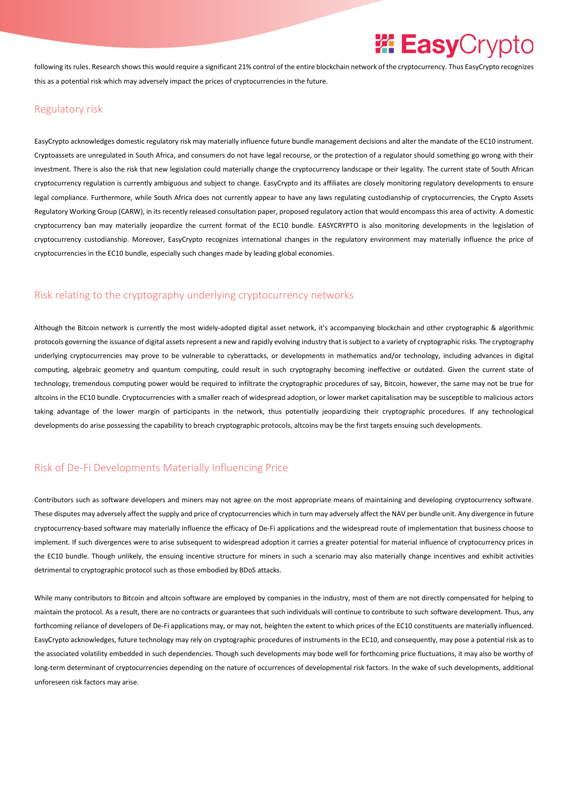following its rules. Research shows this would require a significant 21% control of the entire blockchain network of the cryptocurrency. Thus EasyCrypto recognizes this as a potential risk which may adversely impact the prices of cryptocurrencies in the future.

#### <span id="page-2-0"></span>Regulatory risk

EasyCrypto acknowledges domestic regulatory risk may materially influence future bundle management decisions and alter the mandate of the EC10 instrument. Cryptoassets are unregulated in South Africa, and consumers do not have legal recourse, or the protection of a regulator should something go wrong with their investment. There is also the risk that new legislation could materially change the cryptocurrency landscape or their legality. The current state of South African cryptocurrency regulation is currently ambiguous and subject to change. EasyCrypto and its affiliates are closely monitoring regulatory developments to ensure legal compliance. Furthermore, while South Africa does not currently appear to have any laws regulating custodianship of cryptocurrencies, the Crypto Assets Regulatory Working Group (CARW), in its recently released consultation paper, proposed regulatory action that would encompass this area of activity. A domestic cryptocurrency ban may materially jeopardize the current format of the EC10 bundle. EASYCRYPTO is also monitoring developments in the legislation of cryptocurrency custodianship. Moreover, EasyCrypto recognizes international changes in the regulatory environment may materially influence the price of cryptocurrencies in the EC10 bundle, especially such changes made by leading global economies.

#### <span id="page-2-1"></span>Risk relating to the cryptography underlying cryptocurrency networks

Although the Bitcoin network is currently the most widely-adopted digital asset network, it's accompanying blockchain and other cryptographic & algorithmic protocols governing the issuance of digital assets represent a new and rapidly evolving industry that is subject to a variety of cryptographic risks. The cryptography underlying cryptocurrencies may prove to be vulnerable to cyberattacks, or developments in mathematics and/or technology, including advances in digital computing, algebraic geometry and quantum computing, could result in such cryptography becoming ineffective or outdated. Given the current state of technology, tremendous computing power would be required to infiltrate the cryptographic procedures of say, Bitcoin, however, the same may not be true for altcoins in the EC10 bundle. Cryptocurrencies with a smaller reach of widespread adoption, or lower market capitalisation may be susceptible to malicious actors taking advantage of the lower margin of participants in the network, thus potentially jeopardizing their cryptographic procedures. If any technological developments do arise possessing the capability to breach cryptographic protocols, altcoins may be the first targets ensuing such developments.

#### <span id="page-2-2"></span>Risk of De-Fi Developments Materially Influencing Price

Contributors such as software developers and miners may not agree on the most appropriate means of maintaining and developing cryptocurrency software. These disputes may adversely affect the supply and price of cryptocurrencies which in turn may adversely affect the NAV per bundle unit. Any divergence in future cryptocurrency-based software may materially influence the efficacy of De-Fi applications and the widespread route of implementation that business choose to implement. If such divergences were to arise subsequent to widespread adoption it carries a greater potential for material influence of cryptocurrency prices in the EC10 bundle. Though unlikely, the ensuing incentive structure for miners in such a scenario may also materially change incentives and exhibit activities detrimental to cryptographic protocol such as those embodied by BDoS attacks.

While many contributors to Bitcoin and altcoin software are employed by companies in the industry, most of them are not directly compensated for helping to maintain the protocol. As a result, there are no contracts or guarantees that such individuals will continue to contribute to such software development. Thus, any forthcoming reliance of developers of De-Fi applications may, or may not, heighten the extent to which prices of the EC10 constituents are materially influenced. EasyCrypto acknowledges, future technology may rely on cryptographic procedures of instruments in the EC10, and consequently, may pose a potential risk as to the associated volatility embedded in such dependencies. Though such developments may bode well for forthcoming price fluctuations, it may also be worthy of long-term determinant of cryptocurrencies depending on the nature of occurrences of developmental risk factors. In the wake of such developments, additional unforeseen risk factors may arise.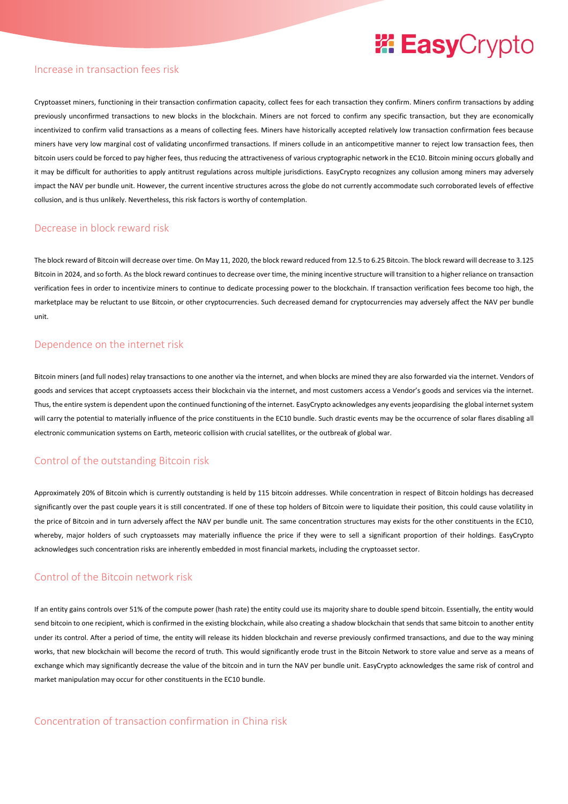#### <span id="page-3-0"></span>Increase in transaction fees risk

Cryptoasset miners, functioning in their transaction confirmation capacity, collect fees for each transaction they confirm. Miners confirm transactions by adding previously unconfirmed transactions to new blocks in the blockchain. Miners are not forced to confirm any specific transaction, but they are economically incentivized to confirm valid transactions as a means of collecting fees. Miners have historically accepted relatively low transaction confirmation fees because miners have very low marginal cost of validating unconfirmed transactions. If miners collude in an anticompetitive manner to reject low transaction fees, then bitcoin users could be forced to pay higher fees, thus reducing the attractiveness of various cryptographic network in the EC10. Bitcoin mining occurs globally and it may be difficult for authorities to apply antitrust regulations across multiple jurisdictions. EasyCrypto recognizes any collusion among miners may adversely impact the NAV per bundle unit. However, the current incentive structures across the globe do not currently accommodate such corroborated levels of effective collusion, and is thus unlikely. Nevertheless, this risk factors is worthy of contemplation.

#### <span id="page-3-1"></span>Decrease in block reward risk

The block reward of Bitcoin will decrease over time. On May 11, 2020, the block reward reduced from 12.5 to 6.25 Bitcoin. The block reward will decrease to 3.125 Bitcoin in 2024, and so forth. As the block reward continues to decrease over time, the mining incentive structure will transition to a higher reliance on transaction verification fees in order to incentivize miners to continue to dedicate processing power to the blockchain. If transaction verification fees become too high, the marketplace may be reluctant to use Bitcoin, or other cryptocurrencies. Such decreased demand for cryptocurrencies may adversely affect the NAV per bundle unit.

#### <span id="page-3-2"></span>Dependence on the internet risk

Bitcoin miners (and full nodes) relay transactions to one another via the internet, and when blocks are mined they are also forwarded via the internet. Vendors of goods and services that accept cryptoassets access their blockchain via the internet, and most customers access a Vendor's goods and services via the internet. Thus, the entire system is dependent upon the continued functioning of the internet. EasyCrypto acknowledges any events jeopardising the global internet system will carry the potential to materially influence of the price constituents in the EC10 bundle. Such drastic events may be the occurrence of solar flares disabling all electronic communication systems on Earth, meteoric collision with crucial satellites, or the outbreak of global war.

#### <span id="page-3-3"></span>Control of the outstanding Bitcoin risk

Approximately 20% of Bitcoin which is currently outstanding is held by 115 bitcoin addresses. While concentration in respect of Bitcoin holdings has decreased significantly over the past couple years it is still concentrated. If one of these top holders of Bitcoin were to liquidate their position, this could cause volatility in the price of Bitcoin and in turn adversely affect the NAV per bundle unit. The same concentration structures may exists for the other constituents in the EC10, whereby, major holders of such cryptoassets may materially influence the price if they were to sell a significant proportion of their holdings. EasyCrypto acknowledges such concentration risks are inherently embedded in most financial markets, including the cryptoasset sector.

#### <span id="page-3-4"></span>Control of the Bitcoin network risk

<span id="page-3-5"></span>If an entity gains controls over 51% of the compute power (hash rate) the entity could use its majority share to double spend bitcoin. Essentially, the entity would send bitcoin to one recipient, which is confirmed in the existing blockchain, while also creating a shadow blockchain that sends that same bitcoin to another entity under its control. After a period of time, the entity will release its hidden blockchain and reverse previously confirmed transactions, and due to the way mining works, that new blockchain will become the record of truth. This would significantly erode trust in the Bitcoin Network to store value and serve as a means of exchange which may significantly decrease the value of the bitcoin and in turn the NAV per bundle unit. EasyCrypto acknowledges the same risk of control and market manipulation may occur for other constituents in the EC10 bundle.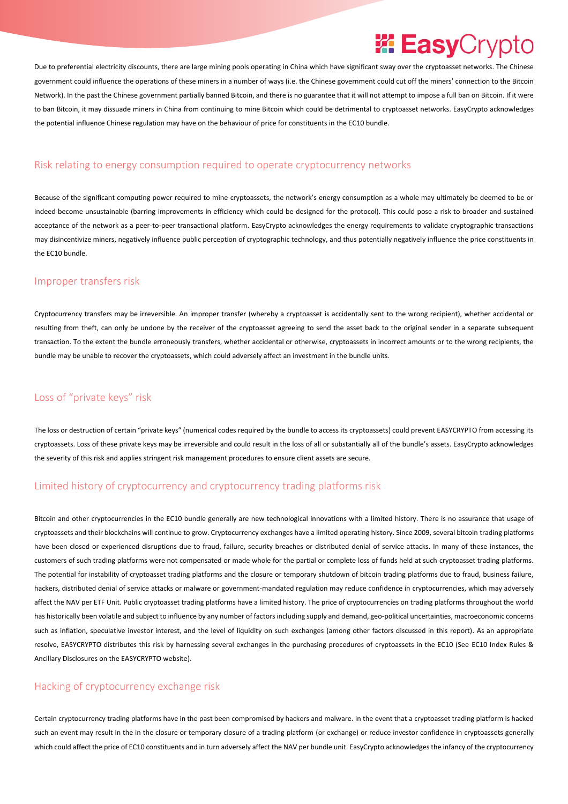### *EasyCrypto*

Due to preferential electricity discounts, there are large mining pools operating in China which have significant sway over the cryptoasset networks. The Chinese government could influence the operations of these miners in a number of ways (i.e. the Chinese government could cut off the miners' connection to the Bitcoin Network). In the past the Chinese government partially banned Bitcoin, and there is no guarantee that it will not attempt to impose a full ban on Bitcoin. If it were to ban Bitcoin, it may dissuade miners in China from continuing to mine Bitcoin which could be detrimental to cryptoasset networks. EasyCrypto acknowledges the potential influence Chinese regulation may have on the behaviour of price for constituents in the EC10 bundle.

#### <span id="page-4-0"></span>Risk relating to energy consumption required to operate cryptocurrency networks

Because of the significant computing power required to mine cryptoassets, the network's energy consumption as a whole may ultimately be deemed to be or indeed become unsustainable (barring improvements in efficiency which could be designed for the protocol). This could pose a risk to broader and sustained acceptance of the network as a peer-to-peer transactional platform. EasyCrypto acknowledges the energy requirements to validate cryptographic transactions may disincentivize miners, negatively influence public perception of cryptographic technology, and thus potentially negatively influence the price constituents in the EC10 bundle.

#### <span id="page-4-1"></span>Improper transfers risk

Cryptocurrency transfers may be irreversible. An improper transfer (whereby a cryptoasset is accidentally sent to the wrong recipient), whether accidental or resulting from theft, can only be undone by the receiver of the cryptoasset agreeing to send the asset back to the original sender in a separate subsequent transaction. To the extent the bundle erroneously transfers, whether accidental or otherwise, cryptoassets in incorrect amounts or to the wrong recipients, the bundle may be unable to recover the cryptoassets, which could adversely affect an investment in the bundle units.

#### <span id="page-4-2"></span>Loss of "private keys" risk

The loss or destruction of certain "private keys" (numerical codes required by the bundle to access its cryptoassets) could prevent EASYCRYPTO from accessing its cryptoassets. Loss of these private keys may be irreversible and could result in the loss of all or substantially all of the bundle's assets. EasyCrypto acknowledges the severity of this risk and applies stringent risk management procedures to ensure client assets are secure.

#### <span id="page-4-3"></span>Limited history of cryptocurrency and cryptocurrency trading platforms risk

Bitcoin and other cryptocurrencies in the EC10 bundle generally are new technological innovations with a limited history. There is no assurance that usage of cryptoassets and their blockchains will continue to grow. Cryptocurrency exchanges have a limited operating history. Since 2009, several bitcoin trading platforms have been closed or experienced disruptions due to fraud, failure, security breaches or distributed denial of service attacks. In many of these instances, the customers of such trading platforms were not compensated or made whole for the partial or complete loss of funds held at such cryptoasset trading platforms. The potential for instability of cryptoasset trading platforms and the closure or temporary shutdown of bitcoin trading platforms due to fraud, business failure, hackers, distributed denial of service attacks or malware or government-mandated regulation may reduce confidence in cryptocurrencies, which may adversely affect the NAV per ETF Unit. Public cryptoasset trading platforms have a limited history. The price of cryptocurrencies on trading platforms throughout the world has historically been volatile and subject to influence by any number of factors including supply and demand, geo-political uncertainties, macroeconomic concerns such as inflation, speculative investor interest, and the level of liquidity on such exchanges (among other factors discussed in this report). As an appropriate resolve, EASYCRYPTO distributes this risk by harnessing several exchanges in the purchasing procedures of cryptoassets in the EC10 (See EC10 Index Rules & Ancillary Disclosures on the EASYCRYPTO website).

#### <span id="page-4-4"></span>Hacking of cryptocurrency exchange risk

Certain cryptocurrency trading platforms have in the past been compromised by hackers and malware. In the event that a cryptoasset trading platform is hacked such an event may result in the in the closure or temporary closure of a trading platform (or exchange) or reduce investor confidence in cryptoassets generally which could affect the price of EC10 constituents and in turn adversely affect the NAV per bundle unit. EasyCrypto acknowledges the infancy of the cryptocurrency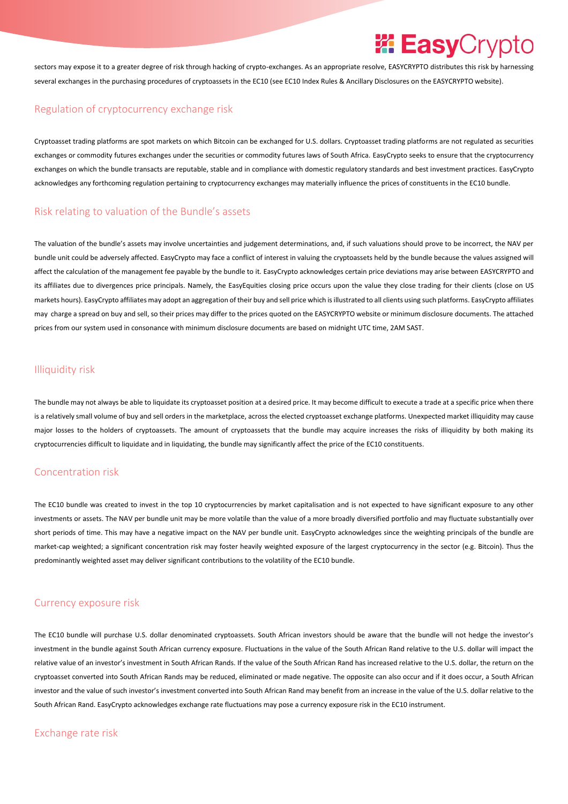### *EasyCrypto*

sectors may expose it to a greater degree of risk through hacking of crypto-exchanges. As an appropriate resolve, EASYCRYPTO distributes this risk by harnessing several exchanges in the purchasing procedures of cryptoassets in the EC10 (see EC10 Index Rules & Ancillary Disclosures on the EASYCRYPTO website).

#### <span id="page-5-0"></span>Regulation of cryptocurrency exchange risk

Cryptoasset trading platforms are spot markets on which Bitcoin can be exchanged for U.S. dollars. Cryptoasset trading platforms are not regulated as securities exchanges or commodity futures exchanges under the securities or commodity futures laws of South Africa. EasyCrypto seeks to ensure that the cryptocurrency exchanges on which the bundle transacts are reputable, stable and in compliance with domestic regulatory standards and best investment practices. EasyCrypto acknowledges any forthcoming regulation pertaining to cryptocurrency exchanges may materially influence the prices of constituents in the EC10 bundle.

#### <span id="page-5-1"></span>Risk relating to valuation of the Bundle's assets

The valuation of the bundle's assets may involve uncertainties and judgement determinations, and, if such valuations should prove to be incorrect, the NAV per bundle unit could be adversely affected. EasyCrypto may face a conflict of interest in valuing the cryptoassets held by the bundle because the values assigned will affect the calculation of the management fee payable by the bundle to it. EasyCrypto acknowledges certain price deviations may arise between EASYCRYPTO and its affiliates due to divergences price principals. Namely, the EasyEquities closing price occurs upon the value they close trading for their clients (close on US markets hours). EasyCrypto affiliates may adopt an aggregation of their buy and sell price which is illustrated to all clients using such platforms. EasyCrypto affiliates may charge a spread on buy and sell, so their prices may differ to the prices quoted on the EASYCRYPTO website or minimum disclosure documents. The attached prices from our system used in consonance with minimum disclosure documents are based on midnight UTC time, 2AM SAST.

#### <span id="page-5-2"></span>Illiquidity risk

The bundle may not always be able to liquidate its cryptoasset position at a desired price. It may become difficult to execute a trade at a specific price when there is a relatively small volume of buy and sell orders in the marketplace, across the elected cryptoasset exchange platforms. Unexpected market illiquidity may cause major losses to the holders of cryptoassets. The amount of cryptoassets that the bundle may acquire increases the risks of illiquidity by both making its cryptocurrencies difficult to liquidate and in liquidating, the bundle may significantly affect the price of the EC10 constituents.

#### <span id="page-5-3"></span>Concentration risk

The EC10 bundle was created to invest in the top 10 cryptocurrencies by market capitalisation and is not expected to have significant exposure to any other investments or assets. The NAV per bundle unit may be more volatile than the value of a more broadly diversified portfolio and may fluctuate substantially over short periods of time. This may have a negative impact on the NAV per bundle unit. EasyCrypto acknowledges since the weighting principals of the bundle are market-cap weighted; a significant concentration risk may foster heavily weighted exposure of the largest cryptocurrency in the sector (e.g. Bitcoin). Thus the predominantly weighted asset may deliver significant contributions to the volatility of the EC10 bundle.

#### <span id="page-5-4"></span>Currency exposure risk

The EC10 bundle will purchase U.S. dollar denominated cryptoassets. South African investors should be aware that the bundle will not hedge the investor's investment in the bundle against South African currency exposure. Fluctuations in the value of the South African Rand relative to the U.S. dollar will impact the relative value of an investor's investment in South African Rands. If the value of the South African Rand has increased relative to the U.S. dollar, the return on the cryptoasset converted into South African Rands may be reduced, eliminated or made negative. The opposite can also occur and if it does occur, a South African investor and the value of such investor's investment converted into South African Rand may benefit from an increase in the value of the U.S. dollar relative to the South African Rand. EasyCrypto acknowledges exchange rate fluctuations may pose a currency exposure risk in the EC10 instrument.

#### <span id="page-5-5"></span>Exchange rate risk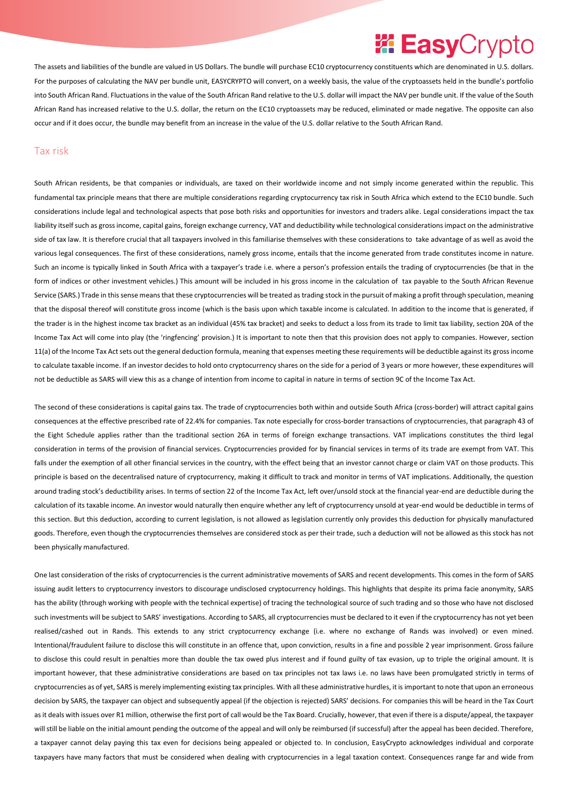### *EasyCrypto*

The assets and liabilities of the bundle are valued in US Dollars. The bundle will purchase EC10 cryptocurrency constituents which are denominated in U.S. dollars. For the purposes of calculating the NAV per bundle unit, EASYCRYPTO will convert, on a weekly basis, the value of the cryptoassets held in the bundle's portfolio into South African Rand. Fluctuations in the value of the South African Rand relative to the U.S. dollar will impact the NAV per bundle unit. If the value of the South African Rand has increased relative to the U.S. dollar, the return on the EC10 cryptoassets may be reduced, eliminated or made negative. The opposite can also occur and if it does occur, the bundle may benefit from an increase in the value of the U.S. dollar relative to the South African Rand.

#### <span id="page-6-0"></span>Tax risk

South African residents, be that companies or individuals, are taxed on their worldwide income and not simply income generated within the republic. This fundamental tax principle means that there are multiple considerations regarding cryptocurrency tax risk in South Africa which extend to the EC10 bundle. Such considerations include legal and technological aspects that pose both risks and opportunities for investors and traders alike. Legal considerations impact the tax liability itself such as gross income, capital gains, foreign exchange currency, VAT and deductibility while technological considerations impact on the administrative side of tax law. It is therefore crucial that all taxpayers involved in this familiarise themselves with these considerations to take advantage of as well as avoid the various legal consequences. The first of these considerations, namely gross income, entails that the income generated from trade constitutes income in nature. Such an income is typically linked in South Africa with a taxpayer's trade i.e. where a person's profession entails the trading of cryptocurrencies (be that in the form of indices or other investment vehicles.) This amount will be included in his gross income in the calculation of tax payable to the South African Revenue Service (SARS.) Trade in this sense means that these cryptocurrencies will be treated as trading stock in the pursuit of making a profit through speculation, meaning that the disposal thereof will constitute gross income (which is the basis upon which taxable income is calculated. In addition to the income that is generated, if the trader is in the highest income tax bracket as an individual (45% tax bracket) and seeks to deduct a loss from its trade to limit tax liability, section 20A of the Income Tax Act will come into play (the 'ringfencing' provision.) It is important to note then that this provision does not apply to companies. However, section 11(a) of the Income Tax Act sets out the general deduction formula, meaning that expenses meeting these requirements will be deductible against its gross income to calculate taxable income. If an investor decides to hold onto cryptocurrency shares on the side for a period of 3 years or more however, these expenditures will not be deductible as SARS will view this as a change of intention from income to capital in nature in terms of section 9C of the Income Tax Act.

The second of these considerations is capital gains tax. The trade of cryptocurrencies both within and outside South Africa (cross-border) will attract capital gains consequences at the effective prescribed rate of 22.4% for companies. Tax note especially for cross-border transactions of cryptocurrencies, that paragraph 43 of the Eight Schedule applies rather than the traditional section 26A in terms of foreign exchange transactions. VAT implications constitutes the third legal consideration in terms of the provision of financial services. Cryptocurrencies provided for by financial services in terms of its trade are exempt from VAT. This falls under the exemption of all other financial services in the country, with the effect being that an investor cannot charge or claim VAT on those products. This principle is based on the decentralised nature of cryptocurrency, making it difficult to track and monitor in terms of VAT implications. Additionally, the question around trading stock's deductibility arises. In terms of section 22 of the Income Tax Act, left over/unsold stock at the financial year-end are deductible during the calculation of its taxable income. An investor would naturally then enquire whether any left of cryptocurrency unsold at year-end would be deductible in terms of this section. But this deduction, according to current legislation, is not allowed as legislation currently only provides this deduction for physically manufactured goods. Therefore, even though the cryptocurrencies themselves are considered stock as per their trade, such a deduction will not be allowed as this stock has not been physically manufactured.

One last consideration of the risks of cryptocurrencies is the current administrative movements of SARS and recent developments. This comes in the form of SARS issuing audit letters to cryptocurrency investors to discourage undisclosed cryptocurrency holdings. This highlights that despite its prima facie anonymity, SARS has the ability (through working with people with the technical expertise) of tracing the technological source of such trading and so those who have not disclosed such investments will be subject to SARS' investigations. According to SARS, all cryptocurrencies must be declared to it even if the cryptocurrency has not yet been realised/cashed out in Rands. This extends to any strict cryptocurrency exchange (i.e. where no exchange of Rands was involved) or even mined. Intentional/fraudulent failure to disclose this will constitute in an offence that, upon conviction, results in a fine and possible 2 year imprisonment. Gross failure to disclose this could result in penalties more than double the tax owed plus interest and if found guilty of tax evasion, up to triple the original amount. It is important however, that these administrative considerations are based on tax principles not tax laws i.e. no laws have been promulgated strictly in terms of cryptocurrencies as of yet, SARS is merely implementing existing tax principles. With all these administrative hurdles, it is important to note that upon an erroneous decision by SARS, the taxpayer can object and subsequently appeal (if the objection is rejected) SARS' decisions. For companies this will be heard in the Tax Court as it deals with issues over R1 million, otherwise the first port of call would be the Tax Board. Crucially, however, that even if there is a dispute/appeal, the taxpayer will still be liable on the initial amount pending the outcome of the appeal and will only be reimbursed (if successful) after the appeal has been decided. Therefore, a taxpayer cannot delay paying this tax even for decisions being appealed or objected to. In conclusion, EasyCrypto acknowledges individual and corporate taxpayers have many factors that must be considered when dealing with cryptocurrencies in a legal taxation context. Consequences range far and wide from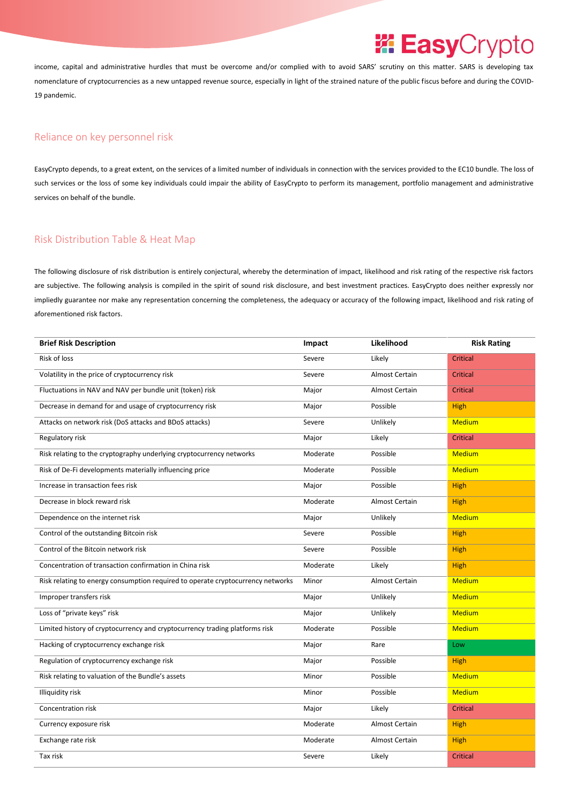income, capital and administrative hurdles that must be overcome and/or complied with to avoid SARS' scrutiny on this matter. SARS is developing tax nomenclature of cryptocurrencies as a new untapped revenue source, especially in light of the strained nature of the public fiscus before and during the COVID-19 pandemic.

#### <span id="page-7-0"></span>Reliance on key personnel risk

EasyCrypto depends, to a great extent, on the services of a limited number of individuals in connection with the services provided to the EC10 bundle. The loss of such services or the loss of some key individuals could impair the ability of EasyCrypto to perform its management, portfolio management and administrative services on behalf of the bundle.

#### <span id="page-7-1"></span>Risk Distribution Table & Heat Map

The following disclosure of risk distribution is entirely conjectural, whereby the determination of impact, likelihood and risk rating of the respective risk factors are subjective. The following analysis is compiled in the spirit of sound risk disclosure, and best investment practices. EasyCrypto does neither expressly nor impliedly guarantee nor make any representation concerning the completeness, the adequacy or accuracy of the following impact, likelihood and risk rating of aforementioned risk factors.

| <b>Brief Risk Description</b>                                                   | Impact   | Likelihood            | <b>Risk Rating</b> |
|---------------------------------------------------------------------------------|----------|-----------------------|--------------------|
| <b>Risk of loss</b>                                                             | Severe   | Likely                | <b>Critical</b>    |
| Volatility in the price of cryptocurrency risk                                  | Severe   | <b>Almost Certain</b> | Critical           |
| Fluctuations in NAV and NAV per bundle unit (token) risk                        | Major    | <b>Almost Certain</b> | <b>Critical</b>    |
| Decrease in demand for and usage of cryptocurrency risk                         | Major    | Possible              | High               |
| Attacks on network risk (DoS attacks and BDoS attacks)                          | Severe   | Unlikely              | <b>Medium</b>      |
| Regulatory risk                                                                 | Major    | Likely                | Critical           |
| Risk relating to the cryptography underlying cryptocurrency networks            | Moderate | Possible              | <b>Medium</b>      |
| Risk of De-Fi developments materially influencing price                         | Moderate | Possible              | <b>Medium</b>      |
| Increase in transaction fees risk                                               | Major    | Possible              | <b>High</b>        |
| Decrease in block reward risk                                                   | Moderate | <b>Almost Certain</b> | High               |
| Dependence on the internet risk                                                 | Major    | Unlikely              | <b>Medium</b>      |
| Control of the outstanding Bitcoin risk                                         | Severe   | Possible              | <b>High</b>        |
| Control of the Bitcoin network risk                                             | Severe   | Possible              | <b>High</b>        |
| Concentration of transaction confirmation in China risk                         | Moderate | Likely                | <b>High</b>        |
| Risk relating to energy consumption required to operate cryptocurrency networks | Minor    | Almost Certain        | <b>Medium</b>      |
| Improper transfers risk                                                         | Major    | Unlikely              | <b>Medium</b>      |
| Loss of "private keys" risk                                                     | Major    | Unlikely              | <b>Medium</b>      |
| Limited history of cryptocurrency and cryptocurrency trading platforms risk     | Moderate | Possible              | <b>Medium</b>      |
| Hacking of cryptocurrency exchange risk                                         | Major    | Rare                  | Low                |
| Regulation of cryptocurrency exchange risk                                      | Major    | Possible              | <b>High</b>        |
| Risk relating to valuation of the Bundle's assets                               | Minor    | Possible              | <b>Medium</b>      |
| <b>Illiquidity risk</b>                                                         | Minor    | Possible              | <b>Medium</b>      |
| Concentration risk                                                              | Major    | Likely                | Critical           |
| Currency exposure risk                                                          | Moderate | Almost Certain        | <b>High</b>        |
| Exchange rate risk                                                              | Moderate | Almost Certain        | <b>High</b>        |
| Tax risk                                                                        | Severe   | Likely                | Critical           |